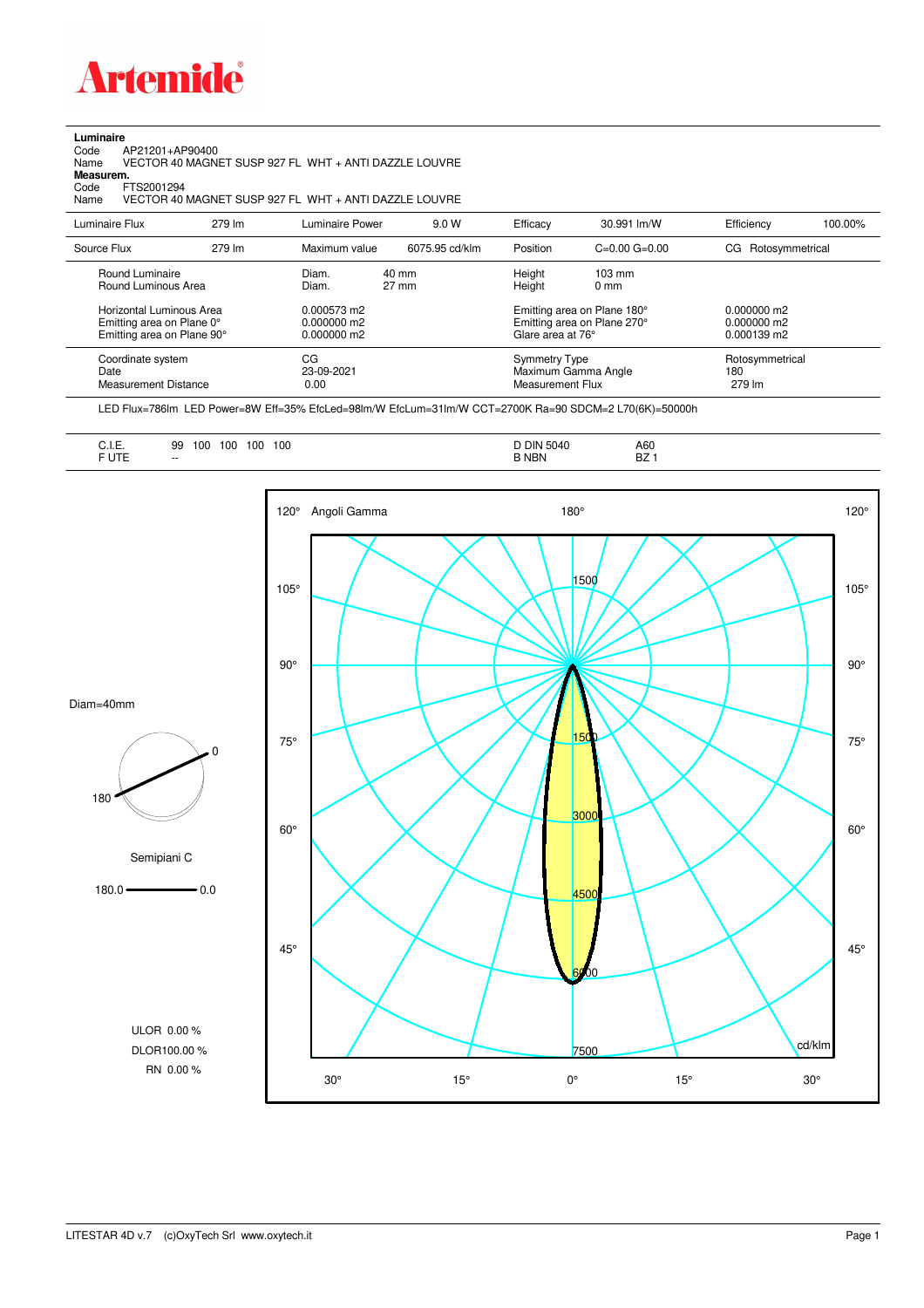

## **Luminaire**

Code AP21201+AP90400 Name VECTOR 40 MAGNET SUSP 927 FL WHT + ANTI DAZZLE LOUVRE Code A<br>Name V<br>**Measurem.** 

Code FTS2001294<br>Name VECTOR 40 Name VECTOR 40 MAGNET SUSP 927 FL WHT + ANTI DAZZLE LOUVRE

| Luminaire Flux                                                                                                                | 279 lm | Luminaire Power                                                 | 9.0 W                    | Efficacy                                 | 30.991 lm/W                                                                                                                               | Efficiency                                        | 100.00% |
|-------------------------------------------------------------------------------------------------------------------------------|--------|-----------------------------------------------------------------|--------------------------|------------------------------------------|-------------------------------------------------------------------------------------------------------------------------------------------|---------------------------------------------------|---------|
| Source Flux                                                                                                                   | 279 lm | Maximum value                                                   | 6075.95 cd/klm           | Position                                 | $C=0.00$ $G=0.00$                                                                                                                         | CG Rotosymmetrical                                |         |
| Round Luminaire<br>Round Luminous Area<br>Horizontal Luminous Area<br>Emitting area on Plane 0°<br>Emitting area on Plane 90° |        | Diam.<br>Diam.<br>0.000573 m2<br>$0.000000$ m2<br>$0.000000$ m2 | 40 mm<br>$27 \text{ mm}$ |                                          | Height<br>$103 \text{ mm}$<br>Height<br>$0 \text{ mm}$<br>Emitting area on Plane 180°<br>Emitting area on Plane 270°<br>Glare area at 76° |                                                   |         |
| Coordinate system<br>Date<br>Measurement Distance                                                                             |        | CG<br>23-09-2021<br>0.00                                        |                          | <b>Symmetry Type</b><br>Measurement Flux | Maximum Gamma Angle                                                                                                                       | $0.000139$ m2<br>Rotosymmetrical<br>180<br>279 lm |         |

LED Flux=786lm LED Power=8W Eff=35% EfcLed=98lm/W EfcLum=31lm/W CCT=2700K Ra=90 SDCM=2 L70(6K)=50000h